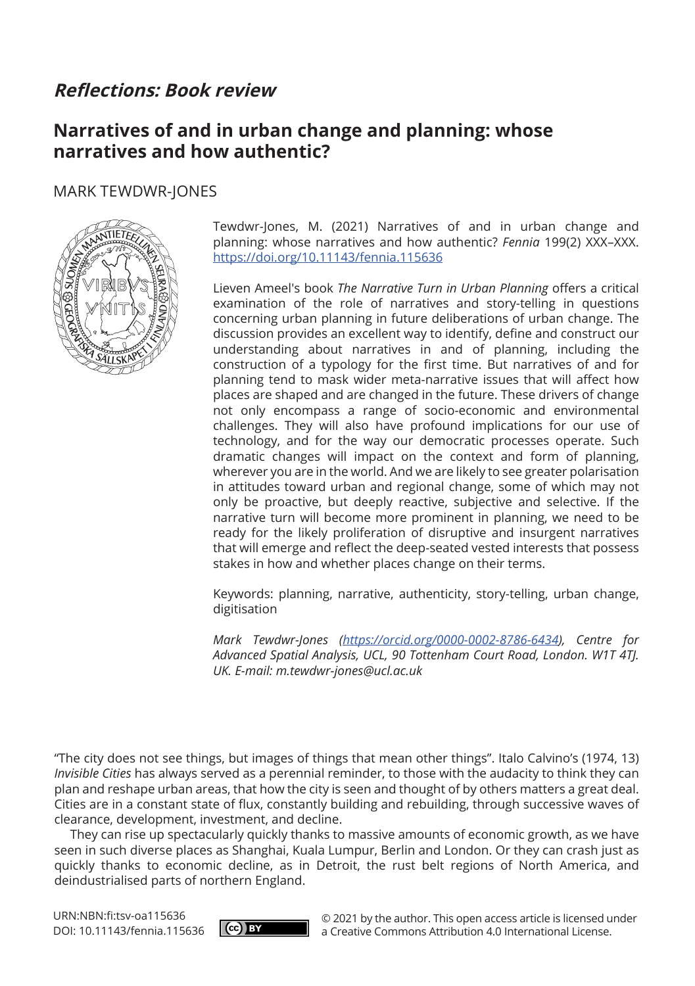# **Reflections: Book review**

## **Narratives of and in urban change and planning: whose narratives and how authentic?**

### MARK TEWDWR-JONES



Tewdwr-Jones, M. (2021) Narratives of and in urban change and planning: whose narratives and how authentic? *Fennia* 199(2) XXX–XXX. <https://doi.org/10.11143/fennia.115636>

Lieven Ameel's book *The Narrative Turn in Urban Planning* offers a critical examination of the role of narratives and story-telling in questions concerning urban planning in future deliberations of urban change. The discussion provides an excellent way to identify, define and construct our understanding about narratives in and of planning, including the construction of a typology for the first time. But narratives of and for planning tend to mask wider meta-narrative issues that will affect how places are shaped and are changed in the future. These drivers of change not only encompass a range of socio-economic and environmental challenges. They will also have profound implications for our use of technology, and for the way our democratic processes operate. Such dramatic changes will impact on the context and form of planning, wherever you are in the world. And we are likely to see greater polarisation in attitudes toward urban and regional change, some of which may not only be proactive, but deeply reactive, subjective and selective. If the narrative turn will become more prominent in planning, we need to be ready for the likely proliferation of disruptive and insurgent narratives that will emerge and reflect the deep-seated vested interests that possess stakes in how and whether places change on their terms.

Keywords: planning, narrative, authenticity, story-telling, urban change, digitisation

*Mark Tewdwr-Jones [\(https://orcid.org/0000-0002-8786-6434](https://orcid.org/0000-0002-8786-6434)), Centre for Advanced Spatial Analysis, UCL, 90 Tottenham Court Road, London. W1T 4TJ. UK. E-mail: [m.tewdwr-jones@ucl.ac.uk](mailto:m.tewdwr-jones@ucl.ac.uk)*

"The city does not see things, but images of things that mean other things". Italo Calvino's (1974, 13) *Invisible Cities* has always served as a perennial reminder, to those with the audacity to think they can plan and reshape urban areas, that how the city is seen and thought of by others matters a great deal. Cities are in a constant state of flux, constantly building and rebuilding, through successive waves of clearance, development, investment, and decline.

They can rise up spectacularly quickly thanks to massive amounts of economic growth, as we have seen in such diverse places as Shanghai, Kuala Lumpur, Berlin and London. Or they can crash just as quickly thanks to economic decline, as in Detroit, the rust belt regions of North America, and deindustrialised parts of northern England.

URN:NBN:fi:tsv-oa115636 DOI: 10.11143/fennia.115636



© 2021 by the author. This open access article is licensed under a Creative Commons Attribution 4.0 International License.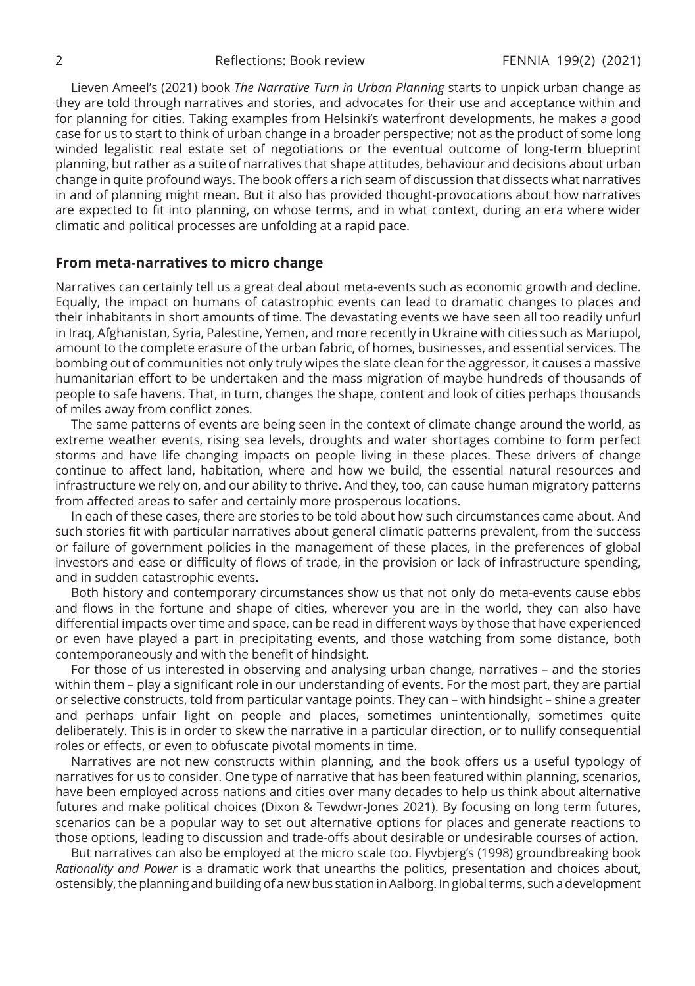Lieven Ameel's (2021) book *The Narrative Turn in Urban Planning* starts to unpick urban change as they are told through narratives and stories, and advocates for their use and acceptance within and for planning for cities. Taking examples from Helsinki's waterfront developments, he makes a good case for us to start to think of urban change in a broader perspective; not as the product of some long winded legalistic real estate set of negotiations or the eventual outcome of long-term blueprint planning, but rather as a suite of narratives that shape attitudes, behaviour and decisions about urban change in quite profound ways. The book offers a rich seam of discussion that dissects what narratives in and of planning might mean. But it also has provided thought-provocations about how narratives are expected to fit into planning, on whose terms, and in what context, during an era where wider climatic and political processes are unfolding at a rapid pace.

#### **From meta-narratives to micro change**

Narratives can certainly tell us a great deal about meta-events such as economic growth and decline. Equally, the impact on humans of catastrophic events can lead to dramatic changes to places and their inhabitants in short amounts of time. The devastating events we have seen all too readily unfurl in Iraq, Afghanistan, Syria, Palestine, Yemen, and more recently in Ukraine with cities such as Mariupol, amount to the complete erasure of the urban fabric, of homes, businesses, and essential services. The bombing out of communities not only truly wipes the slate clean for the aggressor, it causes a massive humanitarian effort to be undertaken and the mass migration of maybe hundreds of thousands of people to safe havens. That, in turn, changes the shape, content and look of cities perhaps thousands of miles away from conflict zones.

The same patterns of events are being seen in the context of climate change around the world, as extreme weather events, rising sea levels, droughts and water shortages combine to form perfect storms and have life changing impacts on people living in these places. These drivers of change continue to affect land, habitation, where and how we build, the essential natural resources and infrastructure we rely on, and our ability to thrive. And they, too, can cause human migratory patterns from affected areas to safer and certainly more prosperous locations.

In each of these cases, there are stories to be told about how such circumstances came about. And such stories fit with particular narratives about general climatic patterns prevalent, from the success or failure of government policies in the management of these places, in the preferences of global investors and ease or difficulty of flows of trade, in the provision or lack of infrastructure spending, and in sudden catastrophic events.

Both history and contemporary circumstances show us that not only do meta-events cause ebbs and flows in the fortune and shape of cities, wherever you are in the world, they can also have differential impacts over time and space, can be read in different ways by those that have experienced or even have played a part in precipitating events, and those watching from some distance, both contemporaneously and with the benefit of hindsight.

For those of us interested in observing and analysing urban change, narratives – and the stories within them – play a significant role in our understanding of events. For the most part, they are partial or selective constructs, told from particular vantage points. They can – with hindsight – shine a greater and perhaps unfair light on people and places, sometimes unintentionally, sometimes quite deliberately. This is in order to skew the narrative in a particular direction, or to nullify consequential roles or effects, or even to obfuscate pivotal moments in time.

Narratives are not new constructs within planning, and the book offers us a useful typology of narratives for us to consider. One type of narrative that has been featured within planning, scenarios, have been employed across nations and cities over many decades to help us think about alternative futures and make political choices (Dixon & Tewdwr-Jones 2021). By focusing on long term futures, scenarios can be a popular way to set out alternative options for places and generate reactions to those options, leading to discussion and trade-offs about desirable or undesirable courses of action.

But narratives can also be employed at the micro scale too. Flyvbjerg's (1998) groundbreaking book *Rationality and Power* is a dramatic work that unearths the politics, presentation and choices about, ostensibly, the planning and building of a new bus station in Aalborg. In global terms, such a development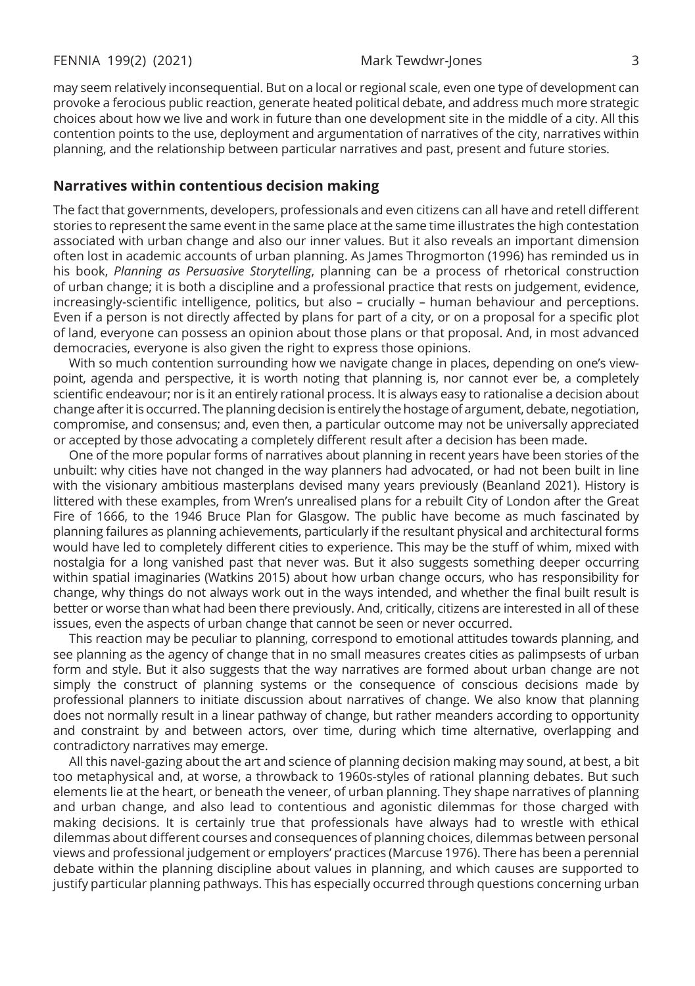may seem relatively inconsequential. But on a local or regional scale, even one type of development can provoke a ferocious public reaction, generate heated political debate, and address much more strategic choices about how we live and work in future than one development site in the middle of a city. All this contention points to the use, deployment and argumentation of narratives of the city, narratives within planning, and the relationship between particular narratives and past, present and future stories.

#### **Narratives within contentious decision making**

The fact that governments, developers, professionals and even citizens can all have and retell different stories to represent the same event in the same place at the same time illustrates the high contestation associated with urban change and also our inner values. But it also reveals an important dimension often lost in academic accounts of urban planning. As James Throgmorton (1996) has reminded us in his book, *Planning as Persuasive Storytelling*, planning can be a process of rhetorical construction of urban change; it is both a discipline and a professional practice that rests on judgement, evidence, increasingly-scientific intelligence, politics, but also – crucially – human behaviour and perceptions. Even if a person is not directly affected by plans for part of a city, or on a proposal for a specific plot of land, everyone can possess an opinion about those plans or that proposal. And, in most advanced democracies, everyone is also given the right to express those opinions.

With so much contention surrounding how we navigate change in places, depending on one's viewpoint, agenda and perspective, it is worth noting that planning is, nor cannot ever be, a completely scientific endeavour; nor is it an entirely rational process. It is always easy to rationalise a decision about change after it is occurred. The planning decision is entirely the hostage of argument, debate, negotiation, compromise, and consensus; and, even then, a particular outcome may not be universally appreciated or accepted by those advocating a completely different result after a decision has been made.

One of the more popular forms of narratives about planning in recent years have been stories of the unbuilt: why cities have not changed in the way planners had advocated, or had not been built in line with the visionary ambitious masterplans devised many years previously (Beanland 2021). History is littered with these examples, from Wren's unrealised plans for a rebuilt City of London after the Great Fire of 1666, to the 1946 Bruce Plan for Glasgow. The public have become as much fascinated by planning failures as planning achievements, particularly if the resultant physical and architectural forms would have led to completely different cities to experience. This may be the stuff of whim, mixed with nostalgia for a long vanished past that never was. But it also suggests something deeper occurring within spatial imaginaries (Watkins 2015) about how urban change occurs, who has responsibility for change, why things do not always work out in the ways intended, and whether the final built result is better or worse than what had been there previously. And, critically, citizens are interested in all of these issues, even the aspects of urban change that cannot be seen or never occurred.

This reaction may be peculiar to planning, correspond to emotional attitudes towards planning, and see planning as the agency of change that in no small measures creates cities as palimpsests of urban form and style. But it also suggests that the way narratives are formed about urban change are not simply the construct of planning systems or the consequence of conscious decisions made by professional planners to initiate discussion about narratives of change. We also know that planning does not normally result in a linear pathway of change, but rather meanders according to opportunity and constraint by and between actors, over time, during which time alternative, overlapping and contradictory narratives may emerge.

All this navel-gazing about the art and science of planning decision making may sound, at best, a bit too metaphysical and, at worse, a throwback to 1960s-styles of rational planning debates. But such elements lie at the heart, or beneath the veneer, of urban planning. They shape narratives of planning and urban change, and also lead to contentious and agonistic dilemmas for those charged with making decisions. It is certainly true that professionals have always had to wrestle with ethical dilemmas about different courses and consequences of planning choices, dilemmas between personal views and professional judgement or employers' practices (Marcuse 1976). There has been a perennial debate within the planning discipline about values in planning, and which causes are supported to justify particular planning pathways. This has especially occurred through questions concerning urban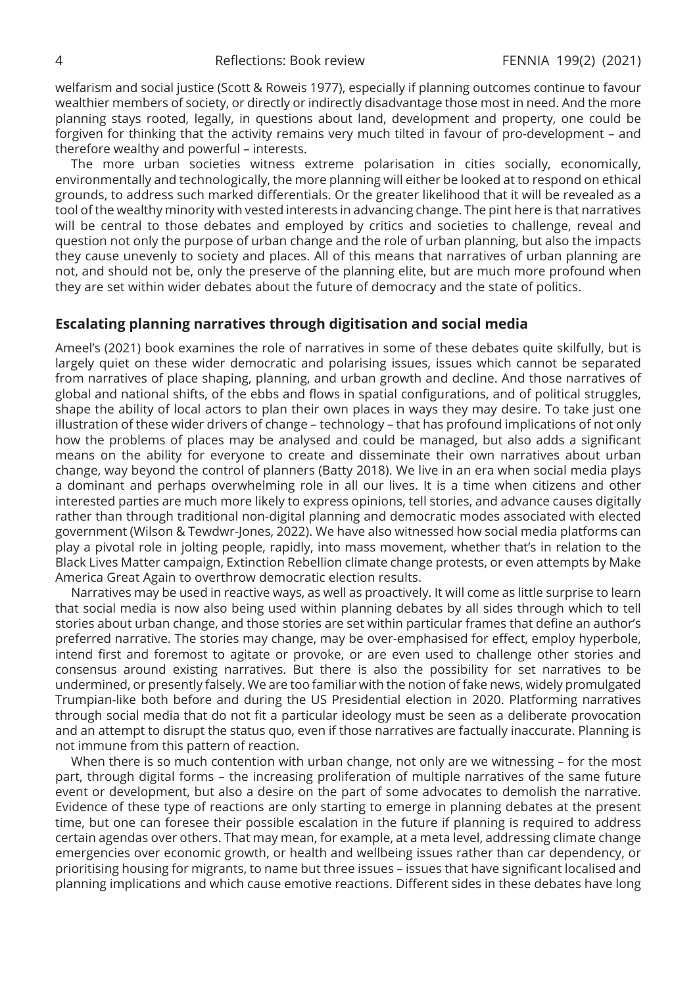welfarism and social justice (Scott & Roweis 1977), especially if planning outcomes continue to favour wealthier members of society, or directly or indirectly disadvantage those most in need. And the more planning stays rooted, legally, in questions about land, development and property, one could be forgiven for thinking that the activity remains very much tilted in favour of pro-development – and therefore wealthy and powerful – interests.

The more urban societies witness extreme polarisation in cities socially, economically, environmentally and technologically, the more planning will either be looked at to respond on ethical grounds, to address such marked differentials. Or the greater likelihood that it will be revealed as a tool of the wealthy minority with vested interests in advancing change. The pint here is that narratives will be central to those debates and employed by critics and societies to challenge, reveal and question not only the purpose of urban change and the role of urban planning, but also the impacts they cause unevenly to society and places. All of this means that narratives of urban planning are not, and should not be, only the preserve of the planning elite, but are much more profound when they are set within wider debates about the future of democracy and the state of politics.

### **Escalating planning narratives through digitisation and social media**

Ameel's (2021) book examines the role of narratives in some of these debates quite skilfully, but is largely quiet on these wider democratic and polarising issues, issues which cannot be separated from narratives of place shaping, planning, and urban growth and decline. And those narratives of global and national shifts, of the ebbs and flows in spatial configurations, and of political struggles, shape the ability of local actors to plan their own places in ways they may desire. To take just one illustration of these wider drivers of change – technology – that has profound implications of not only how the problems of places may be analysed and could be managed, but also adds a significant means on the ability for everyone to create and disseminate their own narratives about urban change, way beyond the control of planners (Batty 2018). We live in an era when social media plays a dominant and perhaps overwhelming role in all our lives. It is a time when citizens and other interested parties are much more likely to express opinions, tell stories, and advance causes digitally rather than through traditional non-digital planning and democratic modes associated with elected government (Wilson & Tewdwr-Jones, 2022). We have also witnessed how social media platforms can play a pivotal role in jolting people, rapidly, into mass movement, whether that's in relation to the Black Lives Matter campaign, Extinction Rebellion climate change protests, or even attempts by Make America Great Again to overthrow democratic election results.

Narratives may be used in reactive ways, as well as proactively. It will come as little surprise to learn that social media is now also being used within planning debates by all sides through which to tell stories about urban change, and those stories are set within particular frames that define an author's preferred narrative. The stories may change, may be over-emphasised for effect, employ hyperbole, intend first and foremost to agitate or provoke, or are even used to challenge other stories and consensus around existing narratives. But there is also the possibility for set narratives to be undermined, or presently falsely. We are too familiar with the notion of fake news, widely promulgated Trumpian-like both before and during the US Presidential election in 2020. Platforming narratives through social media that do not fit a particular ideology must be seen as a deliberate provocation and an attempt to disrupt the status quo, even if those narratives are factually inaccurate. Planning is not immune from this pattern of reaction.

When there is so much contention with urban change, not only are we witnessing – for the most part, through digital forms – the increasing proliferation of multiple narratives of the same future event or development, but also a desire on the part of some advocates to demolish the narrative. Evidence of these type of reactions are only starting to emerge in planning debates at the present time, but one can foresee their possible escalation in the future if planning is required to address certain agendas over others. That may mean, for example, at a meta level, addressing climate change emergencies over economic growth, or health and wellbeing issues rather than car dependency, or prioritising housing for migrants, to name but three issues – issues that have significant localised and planning implications and which cause emotive reactions. Different sides in these debates have long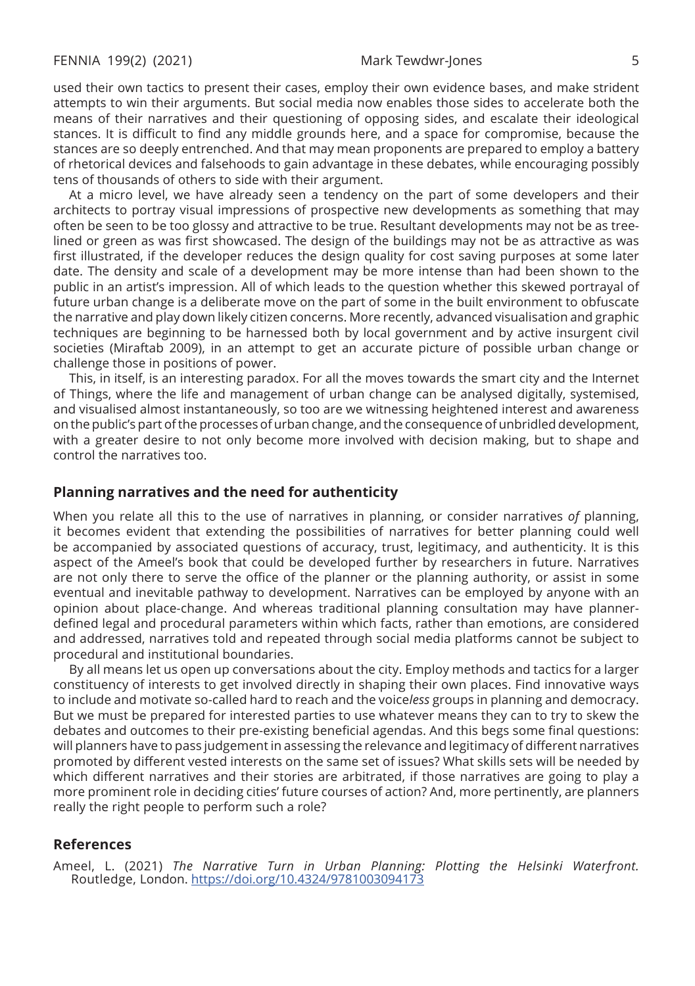used their own tactics to present their cases, employ their own evidence bases, and make strident attempts to win their arguments. But social media now enables those sides to accelerate both the means of their narratives and their questioning of opposing sides, and escalate their ideological stances. It is difficult to find any middle grounds here, and a space for compromise, because the stances are so deeply entrenched. And that may mean proponents are prepared to employ a battery of rhetorical devices and falsehoods to gain advantage in these debates, while encouraging possibly tens of thousands of others to side with their argument.

At a micro level, we have already seen a tendency on the part of some developers and their architects to portray visual impressions of prospective new developments as something that may often be seen to be too glossy and attractive to be true. Resultant developments may not be as treelined or green as was first showcased. The design of the buildings may not be as attractive as was first illustrated, if the developer reduces the design quality for cost saving purposes at some later date. The density and scale of a development may be more intense than had been shown to the public in an artist's impression. All of which leads to the question whether this skewed portrayal of future urban change is a deliberate move on the part of some in the built environment to obfuscate the narrative and play down likely citizen concerns. More recently, advanced visualisation and graphic techniques are beginning to be harnessed both by local government and by active insurgent civil societies (Miraftab 2009), in an attempt to get an accurate picture of possible urban change or challenge those in positions of power.

This, in itself, is an interesting paradox. For all the moves towards the smart city and the Internet of Things, where the life and management of urban change can be analysed digitally, systemised, and visualised almost instantaneously, so too are we witnessing heightened interest and awareness on the public's part of the processes of urban change, and the consequence of unbridled development, with a greater desire to not only become more involved with decision making, but to shape and control the narratives too.

#### **Planning narratives and the need for authenticity**

When you relate all this to the use of narratives in planning, or consider narratives *of* planning, it becomes evident that extending the possibilities of narratives for better planning could well be accompanied by associated questions of accuracy, trust, legitimacy, and authenticity. It is this aspect of the Ameel's book that could be developed further by researchers in future. Narratives are not only there to serve the office of the planner or the planning authority, or assist in some eventual and inevitable pathway to development. Narratives can be employed by anyone with an opinion about place-change. And whereas traditional planning consultation may have plannerdefined legal and procedural parameters within which facts, rather than emotions, are considered and addressed, narratives told and repeated through social media platforms cannot be subject to procedural and institutional boundaries.

By all means let us open up conversations about the city. Employ methods and tactics for a larger constituency of interests to get involved directly in shaping their own places. Find innovative ways to include and motivate so-called hard to reach and the voice*less* groups in planning and democracy. But we must be prepared for interested parties to use whatever means they can to try to skew the debates and outcomes to their pre-existing beneficial agendas. And this begs some final questions: will planners have to pass judgement in assessing the relevance and legitimacy of different narratives promoted by different vested interests on the same set of issues? What skills sets will be needed by which different narratives and their stories are arbitrated, if those narratives are going to play a more prominent role in deciding cities' future courses of action? And, more pertinently, are planners really the right people to perform such a role?

#### **References**

Ameel, L. (2021) *The Narrative Turn in Urban Planning: Plotting the Helsinki Waterfront.* Routledge, London.<https://doi.org/10.4324/9781003094173>